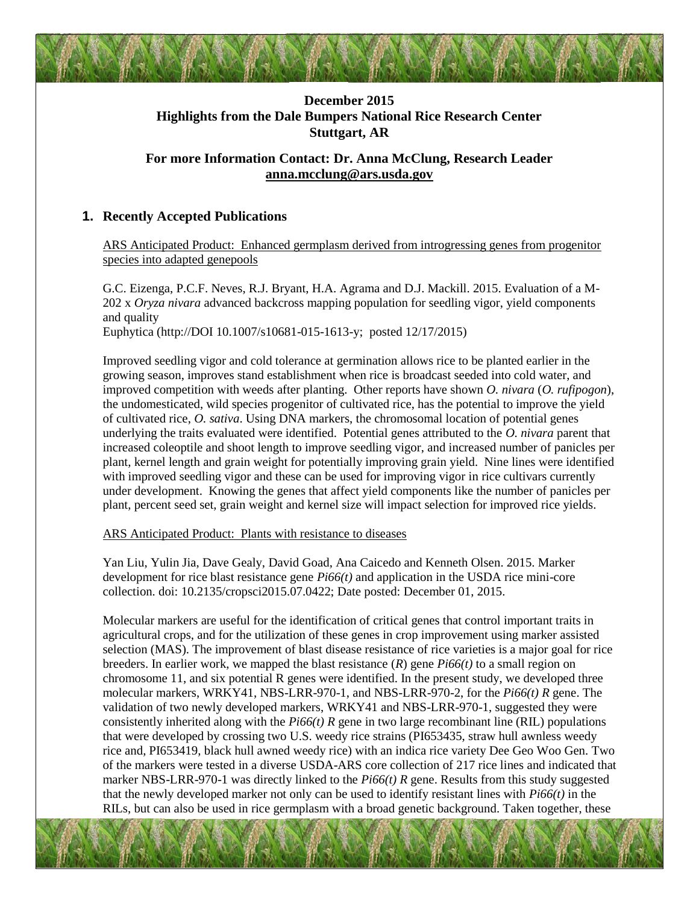

## **December 2015 Highlights from the Dale Bumpers National Rice Research Center Stuttgart, AR**

# **For more Information Contact: Dr. Anna McClung, Research Leader [anna.mcclung@ars.usda.gov](mailto:anna.mcclung@ars.usda.gov)**

## **1. Recently Accepted Publications**

ARS Anticipated Product: Enhanced germplasm derived from introgressing genes from progenitor species into adapted genepools

G.C. Eizenga, P.C.F. Neves, R.J. Bryant, H.A. Agrama and D.J. Mackill. 2015. Evaluation of a M-202 x *Oryza nivara* advanced backcross mapping population for seedling vigor, yield components and quality

Euphytica (http://DOI 10.1007/s10681-015-1613-y; posted 12/17/2015)

Improved seedling vigor and cold tolerance at germination allows rice to be planted earlier in the growing season, improves stand establishment when rice is broadcast seeded into cold water, and improved competition with weeds after planting. Other reports have shown *O. nivara* (*O. rufipogon*), the undomesticated, wild species progenitor of cultivated rice, has the potential to improve the yield of cultivated rice, *O. sativa*. Using DNA markers, the chromosomal location of potential genes underlying the traits evaluated were identified. Potential genes attributed to the *O. nivara* parent that increased coleoptile and shoot length to improve seedling vigor, and increased number of panicles per plant, kernel length and grain weight for potentially improving grain yield. Nine lines were identified with improved seedling vigor and these can be used for improving vigor in rice cultivars currently under development. Knowing the genes that affect yield components like the number of panicles per plant, percent seed set, grain weight and kernel size will impact selection for improved rice yields.

ARS Anticipated Product: Plants with resistance to diseases

Yan Liu, Yulin Jia, Dave Gealy, David Goad, Ana Caicedo and Kenneth Olsen. 2015. Marker development for rice blast resistance gene *Pi66(t)* and application in the USDA rice mini-core collection. doi: 10.2135/cropsci2015.07.0422; Date posted: December 01, 2015.

Molecular markers are useful for the identification of critical genes that control important traits in agricultural crops, and for the utilization of these genes in crop improvement using marker assisted selection (MAS). The improvement of blast disease resistance of rice varieties is a major goal for rice breeders. In earlier work, we mapped the blast resistance  $(R)$  gene  $Pi66(t)$  to a small region on chromosome 11, and six potential R genes were identified. In the present study, we developed three molecular markers, WRKY41, NBS-LRR-970-1, and NBS-LRR-970-2, for the *Pi66(t) R* gene. The validation of two newly developed markers, WRKY41 and NBS-LRR-970-1, suggested they were consistently inherited along with the *Pi66(t) R* gene in two large recombinant line (RIL) populations that were developed by crossing two U.S. weedy rice strains (PI653435, straw hull awnless weedy rice and, PI653419, black hull awned weedy rice) with an indica rice variety Dee Geo Woo Gen. Two of the markers were tested in a diverse USDA-ARS core collection of 217 rice lines and indicated that marker NBS-LRR-970-1 was directly linked to the *Pi66(t) R* gene. Results from this study suggested that the newly developed marker not only can be used to identify resistant lines with *Pi66(t)* in the RILs, but can also be used in rice germplasm with a broad genetic background. Taken together, these